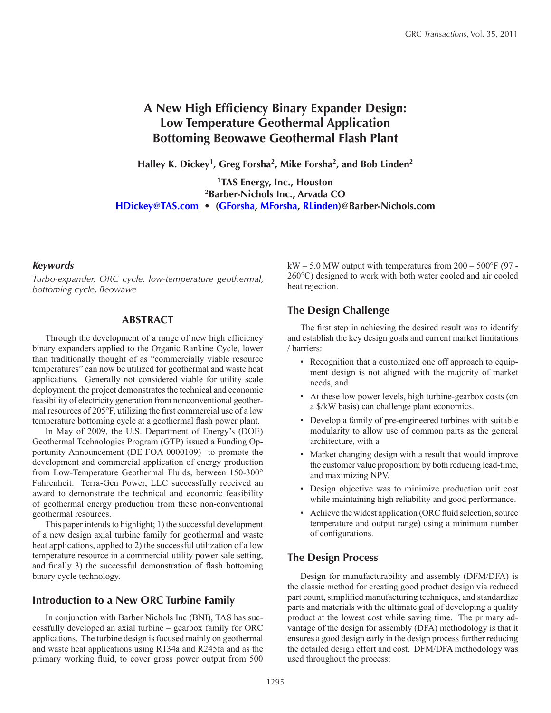# **A New High Efficiency Binary Expander Design: Low Temperature Geothermal Application Bottoming Beowawe Geothermal Flash Plant**

**Halley K. Dickey1, Greg Forsha2, Mike Forsha2, and Bob Linden2**

**1TAS Energy, Inc., Houston 2Barber-Nichols Inc., Arvada CO [HDickey@TAS.com](mailto:HDickey@TAS.com) • ([GForsha](mailto:GForsha%40Barber-Nichols.com?subject=), [MForsha,](mailto:MForsha%40Barber-Nichols.com?subject=) [RLinden\)](mailto:RLinden%40Barber-Nichols.com?subject=)@Barber-Nichols.com**

#### *Keywords*

*Turbo-expander, ORC cycle, low-temperature geothermal, bottoming cycle, Beowawe*

#### **ABSTRACT**

Through the development of a range of new high efficiency binary expanders applied to the Organic Rankine Cycle, lower than traditionally thought of as "commercially viable resource temperatures" can now be utilized for geothermal and waste heat applications. Generally not considered viable for utility scale deployment, the project demonstrates the technical and economic feasibility of electricity generation from nonconventional geothermal resources of 205°F, utilizing the first commercial use of a low temperature bottoming cycle at a geothermal flash power plant.

In May of 2009, the U.S. Department of Energy's (DOE) Geothermal Technologies Program (GTP) issued a Funding Opportunity Announcement (DE-FOA-0000109) to promote the development and commercial application of energy production from Low-Temperature Geothermal Fluids, between 150-300° Fahrenheit. Terra-Gen Power, LLC successfully received an award to demonstrate the technical and economic feasibility of geothermal energy production from these non-conventional geothermal resources.

This paper intends to highlight; 1) the successful development of a new design axial turbine family for geothermal and waste heat applications, applied to 2) the successful utilization of a low temperature resource in a commercial utility power sale setting, and finally 3) the successful demonstration of flash bottoming binary cycle technology.

#### **Introduction to a New ORC Turbine Family**

In conjunction with Barber Nichols Inc (BNI), TAS has successfully developed an axial turbine – gearbox family for ORC applications. The turbine design is focused mainly on geothermal and waste heat applications using R134a and R245fa and as the primary working fluid, to cover gross power output from 500  $kW - 5.0$  MW output with temperatures from  $200 - 500$ °F (97 -260°C) designed to work with both water cooled and air cooled heat rejection.

# **The Design Challenge**

The first step in achieving the desired result was to identify and establish the key design goals and current market limitations / barriers:

- Recognition that a customized one off approach to equipment design is not aligned with the majority of market needs, and
- At these low power levels, high turbine-gearbox costs (on a \$/kW basis) can challenge plant economics.
- Develop a family of pre-engineered turbines with suitable modularity to allow use of common parts as the general architecture, with a
- Market changing design with a result that would improve the customer value proposition; by both reducing lead-time, and maximizing NPV.
- Design objective was to minimize production unit cost while maintaining high reliability and good performance.
- Achieve the widest application (ORC fluid selection, source temperature and output range) using a minimum number of configurations.

# **The Design Process**

Design for manufacturability and assembly (DFM/DFA) is the classic method for creating good product design via reduced part count, simplified manufacturing techniques, and standardize parts and materials with the ultimate goal of developing a quality product at the lowest cost while saving time. The primary advantage of the design for assembly (DFA) methodology is that it ensures a good design early in the design process further reducing the detailed design effort and cost. DFM/DFA methodology was used throughout the process: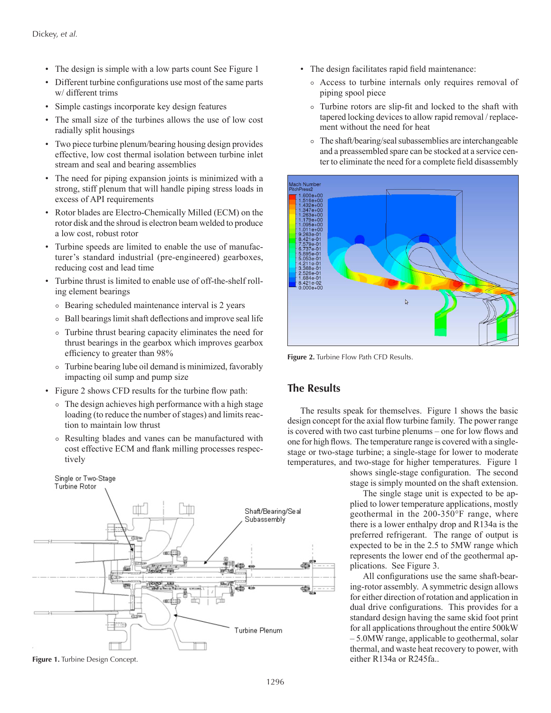- The design is simple with a low parts count See Figure 1
- Different turbine configurations use most of the same parts w/ different trims
- Simple castings incorporate key design features
- The small size of the turbines allows the use of low cost radially split housings
- Two piece turbine plenum/bearing housing design provides effective, low cost thermal isolation between turbine inlet stream and seal and bearing assemblies
- The need for piping expansion joints is minimized with a strong, stiff plenum that will handle piping stress loads in excess of API requirements
- Rotor blades are Electro-Chemically Milled (ECM) on the rotor disk and the shroud is electron beam welded to produce a low cost, robust rotor
- Turbine speeds are limited to enable the use of manufacturer's standard industrial (pre-engineered) gearboxes, reducing cost and lead time
- Turbine thrust is limited to enable use of off-the-shelf rolling element bearings
	- ⚬ Bearing scheduled maintenance interval is 2 years
	- ⚬ Ball bearings limit shaft deflections and improve seal life
	- ⚬ Turbine thrust bearing capacity eliminates the need for thrust bearings in the gearbox which improves gearbox efficiency to greater than 98%
	- ⚬ Turbine bearing lube oil demand is minimized, favorably impacting oil sump and pump size
- Figure 2 shows CFD results for the turbine flow path:
	- ⚬ The design achieves high performance with a high stage loading (to reduce the number of stages) and limits reaction to maintain low thrust
	- ⚬ Resulting blades and vanes can be manufactured with cost effective ECM and flank milling processes respectively



- The design facilitates rapid field maintenance:
	- ⚬ Access to turbine internals only requires removal of piping spool piece
	- ⚬ Turbine rotors are slip-fit and locked to the shaft with tapered locking devices to allow rapid removal / replacement without the need for heat
	- ⚬ The shaft/bearing/seal subassemblies are interchangeable and a preassembled spare can be stocked at a service center to eliminate the need for a complete field disassembly



**Figure 2.** Turbine Flow Path CFD Results.

# **The Results**

The results speak for themselves. Figure 1 shows the basic design concept for the axial flow turbine family. The power range is covered with two cast turbine plenums – one for low flows and one for high flows. The temperature range is covered with a singlestage or two-stage turbine; a single-stage for lower to moderate temperatures, and two-stage for higher temperatures. Figure 1

> shows single-stage configuration. The second stage is simply mounted on the shaft extension.

> The single stage unit is expected to be applied to lower temperature applications, mostly geothermal in the 200-350°F range, where there is a lower enthalpy drop and R134a is the preferred refrigerant. The range of output is expected to be in the 2.5 to 5MW range which represents the lower end of the geothermal applications. See Figure 3.

All configurations use the same shaft-bearing-rotor assembly. A symmetric design allows for either direction of rotation and application in dual drive configurations. This provides for a standard design having the same skid foot print for all applications throughout the entire 500kW – 5.0MW range, applicable to geothermal, solar thermal, and waste heat recovery to power, with **Figure 1.** Turbine Design Concept. **Example 2.445fa..** either R134a or R245fa..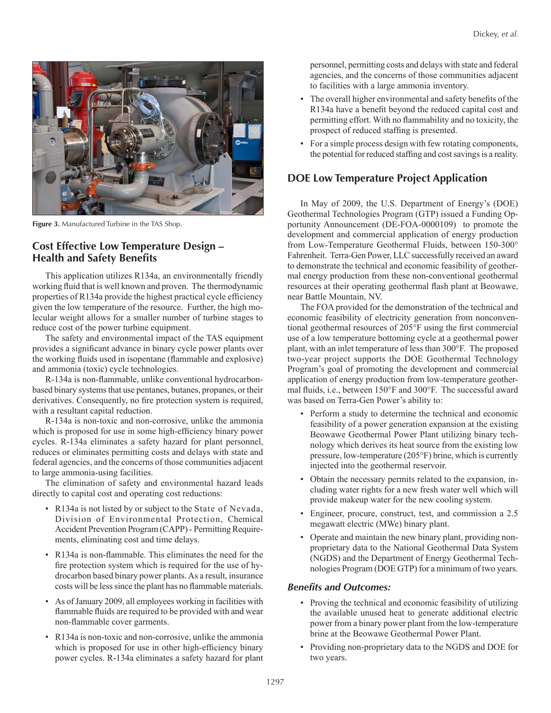

**Figure 3.** Manufactured Turbine in the TAS Shop.

# **Cost Effective Low Temperature Design – Health and Safety Benefits**

This application utilizes R134a, an environmentally friendly working fluid that is well known and proven. The thermodynamic properties of R134a provide the highest practical cycle efficiency given the low temperature of the resource. Further, the high molecular weight allows for a smaller number of turbine stages to reduce cost of the power turbine equipment.

The safety and environmental impact of the TAS equipment provides a significant advance in binary cycle power plants over the working fluids used in isopentane (flammable and explosive) and ammonia (toxic) cycle technologies.

R-134a is non-flammable, unlike conventional hydrocarbonbased binary systems that use pentanes, butanes, propanes, or their derivatives. Consequently, no fire protection system is required, with a resultant capital reduction.

R-134a is non-toxic and non-corrosive, unlike the ammonia which is proposed for use in some high-efficiency binary power cycles. R-134a eliminates a safety hazard for plant personnel, reduces or eliminates permitting costs and delays with state and federal agencies, and the concerns of those communities adjacent to large ammonia-using facilities.

The elimination of safety and environmental hazard leads directly to capital cost and operating cost reductions:

- R134a is not listed by or subject to the State of Nevada, Division of Environmental Protection, Chemical Accident Prevention Program (CAPP) - Permitting Requirements, eliminating cost and time delays.
- R134a is non-flammable. This eliminates the need for the fire protection system which is required for the use of hydrocarbon based binary power plants. As a result, insurance costs will be less since the plant has no flammable materials.
- As of January 2009, all employees working in facilities with flammable fluids are required to be provided with and wear non-flammable cover garments.
- R134a is non-toxic and non-corrosive, unlike the ammonia which is proposed for use in other high-efficiency binary power cycles. R-134a eliminates a safety hazard for plant

personnel, permitting costs and delays with state and federal agencies, and the concerns of those communities adjacent to facilities with a large ammonia inventory.

- The overall higher environmental and safety benefits of the R134a have a benefit beyond the reduced capital cost and permitting effort. With no flammability and no toxicity, the prospect of reduced staffing is presented.
- For a simple process design with few rotating components, the potential for reduced staffing and cost savings is a reality.

# **DOE Low Temperature Project Application**

In May of 2009, the U.S. Department of Energy's (DOE) Geothermal Technologies Program (GTP) issued a Funding Opportunity Announcement (DE-FOA-0000109) to promote the development and commercial application of energy production from Low-Temperature Geothermal Fluids, between 150-300° Fahrenheit. Terra-Gen Power, LLC successfully received an award to demonstrate the technical and economic feasibility of geothermal energy production from these non-conventional geothermal resources at their operating geothermal flash plant at Beowawe, near Battle Mountain, NV.

The FOA provided for the demonstration of the technical and economic feasibility of electricity generation from nonconventional geothermal resources of 205°F using the first commercial use of a low temperature bottoming cycle at a geothermal power plant, with an inlet temperature of less than 300°F. The proposed two-year project supports the DOE Geothermal Technology Program's goal of promoting the development and commercial application of energy production from low-temperature geothermal fluids, i.e., between 150°F and 300°F. The successful award was based on Terra-Gen Power's ability to:

- Perform a study to determine the technical and economic feasibility of a power generation expansion at the existing Beowawe Geothermal Power Plant utilizing binary technology which derives its heat source from the existing low pressure, low-temperature (205°F) brine, which is currently injected into the geothermal reservoir.
- Obtain the necessary permits related to the expansion, including water rights for a new fresh water well which will provide makeup water for the new cooling system.
- Engineer, procure, construct, test, and commission a 2.5 megawatt electric (MWe) binary plant.
- Operate and maintain the new binary plant, providing nonproprietary data to the National Geothermal Data System (NGDS) and the Department of Energy Geothermal Technologies Program (DOE GTP) for a minimum of two years.

#### *Benefits and Outcomes:*

- Proving the technical and economic feasibility of utilizing the available unused heat to generate additional electric power from a binary power plant from the low-temperature brine at the Beowawe Geothermal Power Plant.
- Providing non-proprietary data to the NGDS and DOE for two years.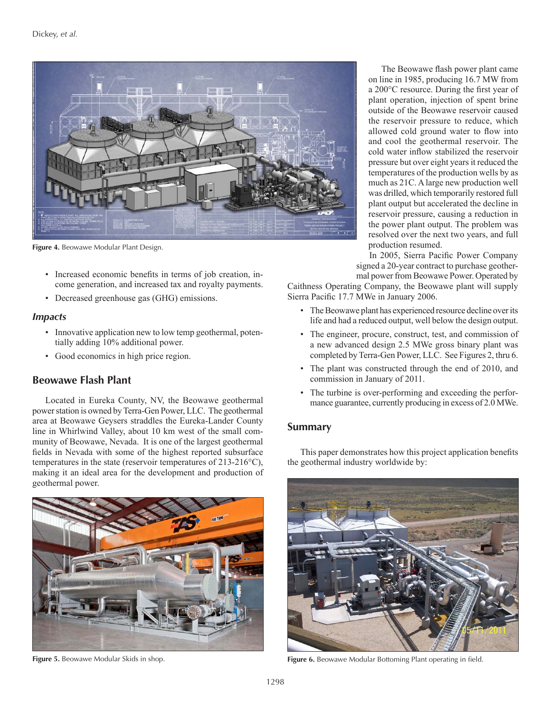

**Figure 4.** Beowawe Modular Plant Design.

- Increased economic benefits in terms of job creation, income generation, and increased tax and royalty payments.
- Decreased greenhouse gas (GHG) emissions.

#### *Impacts*

- Innovative application new to low temp geothermal, potentially adding 10% additional power.
- Good economics in high price region.

# **Beowawe Flash Plant**

Located in Eureka County, NV, the Beowawe geothermal power station is owned by Terra-Gen Power, LLC. The geothermal area at Beowawe Geysers straddles the Eureka-Lander County line in Whirlwind Valley, about 10 km west of the small community of Beowawe, Nevada. It is one of the largest geothermal fields in Nevada with some of the highest reported subsurface temperatures in the state (reservoir temperatures of 213-216°C), making it an ideal area for the development and production of geothermal power.



The Beowawe flash power plant came on line in 1985, producing 16.7 MW from a 200°C resource. During the first year of plant operation, injection of spent brine outside of the Beowawe reservoir caused the reservoir pressure to reduce, which allowed cold ground water to flow into and cool the geothermal reservoir. The cold water inflow stabilized the reservoir pressure but over eight years it reduced the temperatures of the production wells by as much as 21C. A large new production well was drilled, which temporarily restored full plant output but accelerated the decline in reservoir pressure, causing a reduction in the power plant output. The problem was resolved over the next two years, and full production resumed.

In 2005, Sierra Pacific Power Company signed a 20-year contract to purchase geothermal power from Beowawe Power. Operated by

Caithness Operating Company, the Beowawe plant will supply Sierra Pacific 17.7 MWe in January 2006.

- The Beowawe plant has experienced resource decline over its life and had a reduced output, well below the design output.
- The engineer, procure, construct, test, and commission of a new advanced design 2.5 MWe gross binary plant was completed by Terra-Gen Power, LLC. See Figures 2, thru 6.
- The plant was constructed through the end of 2010, and commission in January of 2011.
- The turbine is over-performing and exceeding the performance guarantee, currently producing in excess of 2.0 MWe.

#### **Summary**

This paper demonstrates how this project application benefits the geothermal industry worldwide by:



**Figure 5.** Beowawe Modular Skids in shop. **Figure 6. Beowawe Modular Bottoming Plant operating in field. Figure 6.** Beowawe Modular Bottoming Plant operating in field.